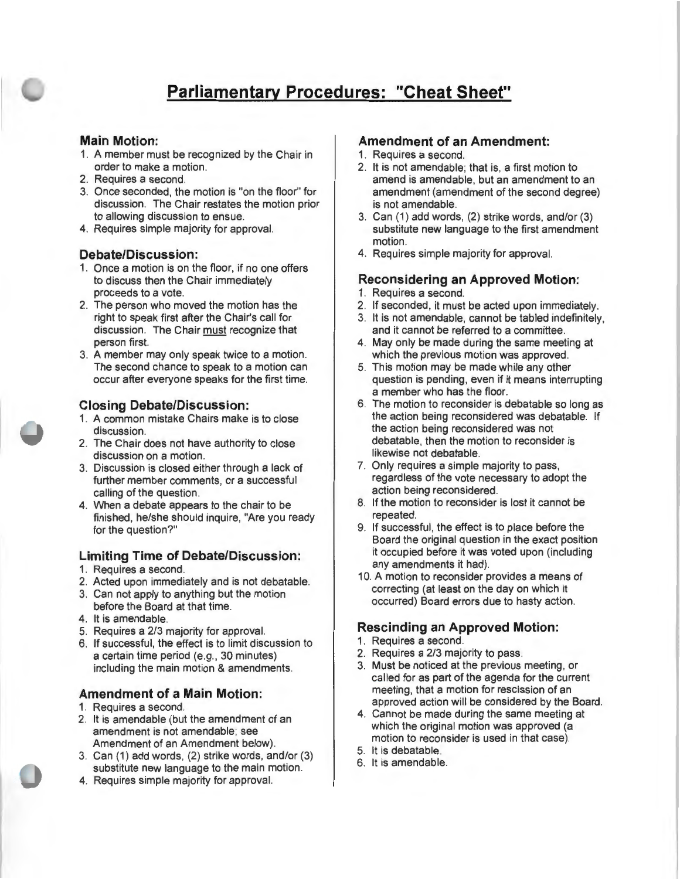# **Parliamentary Procedures: "Cheat Sheet"**

#### **Main Motion:**

- 1. A member must be recognized by the Chair in order to make a motion.
- 2. Requires a second.
- 3. Once seconded, the motion is "on the floor" for discussion. The Chair restates the motion prior to allowing discussion to ensue.
- 4. Requires simple majority for approval.

#### **Debate/Discussion:**

- 1. Once a motion is on the floor, if no one offers to discuss then the Chair immediately proceeds to a vote.
- 2. The person who moved the motion has the right to speak first after the Chair's call for discussion. The Chair must recognize that person first.
- 3. A member may only speak twice to a motion. The second chance to speak to a motion can occur after everyone speaks for the first time.

#### **Closing Debate/Discussion:**

- 1. A common mistake Chairs make is to close discussion.
- 2. The Chair does not have authority to close discussion on a motion.
- 3. Discussion is closed either through a lack of further member comments, or a successful calling of the question.
- 4. When a debate appears to the chair to be finished, he/she should inquire, "Are you ready for the question?"

### **Limiting Time of Debate/Discussion:**

- 1. Requires a second.
- 2. Acted upon immediately and is not debatable.
- 3. Can not apply to anything but the motion
- before the Board at that time.
- 4. It is amendable.
- 5. Requires a 2/3 majority for approval.
- 6. If successful, the effect is to limit discussion to a certain time period (e.g., 30 minutes) including the main motion & amendments.

#### **Amendment of a Main Motion:**

- 1. Requires a second.
- 2. It is amendable (but the amendment of an amendment is not amendable; see Amendment of an Amendment below).
- 3. Can (1) add words, (2) strike words, and/or (3) substitute new language to the main motion.
- **4.** Requires simple majority for approval.

#### **Amendment of an Amendment:**

- 1. Requires a second.
- 2. It is not amendable; that is, a first motion to amend is amendable, but an amendment to an amendment (amendment of the second degree) is not amendable.
- 3. Can (1) add words, (2) strike words, and/or (3) substitute new language to the first amendment motion.
- 4. Requires simple majority for approval.

#### **Reconsidering an Approved Motion:**

- 1. Requires a second.
- 2. If seconded, it must be acted upon immediately.
- 3. It is not amendable, cannot be tabled indefinitely, and it cannot be referred to a committee.
- 4. May only be made during the same meeting at which the previous motion was approved.
- 5. This motion may be made while any other question is pending, even if it means interrupting a member who has the floor.
- 6. The motion to reconsider is debatable so long as the action being reconsidered was debatable. If the action being reconsidered was not debatable, then the motion to reconsider is likewise not debatable.
- 7. Only requires a simple majority to pass, regardless of the vote necessary to adopt the action being reconsidered.
- 8. If the motion to reconsider is lost it cannot be repeated.
- 9. If successful, the effect is to place before the Board the original question in the exact position it occupied before it was voted upon (including any amendments it had).
- 10. A motion to reconsider provides a means of correcting (at least on the day on which it occurred) Board errors due to hasty action.

### **Rescinding an Approved Motion:**

- 1. Requires a second.
- 2. Requires a 2/3 majority to pass.
- 3. Must be noticed at the previous meeting, or called for as part of the agenda for the current meeting, that a motion for rescission of an approved action will be considered by the Board.
- 4. Cannot be made during the same meeting at which the original motion was approved (a motion to reconsider is used in that case).
- 5. It is debatable.
- 6. It is amendable.